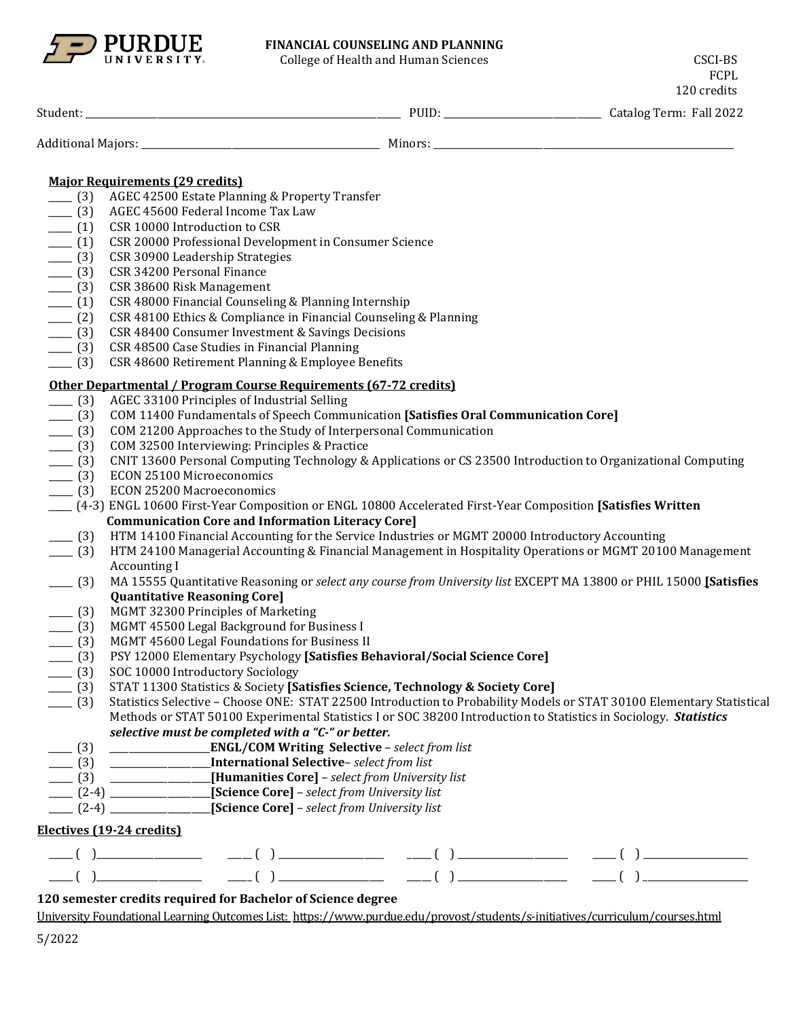

## **FINANCIAL COUNSELING AND PLANNING**

College of Health and Human Sciences CSCI-BS

FCPL 120 credits

| Student: | ັບມ | $\mathbf{r}$<br>2022<br>'erm:<br>Fall<br>Latalog |
|----------|-----|--------------------------------------------------|
|          |     |                                                  |

| Additional<br>Minore <sup>-</sup><br>Maiors:<br>. |  |
|---------------------------------------------------|--|
|---------------------------------------------------|--|

## **Major Requirements (29 credits)**

- \_\_\_\_\_ (3) AGEC 42500 Estate Planning & Property Transfer
- \_\_\_\_ (3) AGEC 45600 Federal Income Tax Law<br>\_\_\_ (1) CSR 10000 Introduction to CSR
- \_\_\_\_ (1) CSR 10000 Introduction to CSR<br>\_\_\_ (1) CSR 20000 Professional Develo
- \_\_\_\_\_ (1) CSR 20000 Professional Development in Consumer Science
- \_\_\_\_ (3) CSR 30900 Leadership Strategies<br>\_\_\_ (3) CSR 34200 Personal Finance
- \_\_\_\_\_ (3) CSR 34200 Personal Finance
- \_\_\_ (3) CSR 38600 Risk Management<br>\_\_ (1) CSR 48000 Financial Counseli
- \_\_\_\_ (1) CSR 48000 Financial Counseling & Planning Internship<br>\_\_\_\_ (2) CSR 48100 Ethics & Compliance in Financial Counseling
- \_\_\_\_ (2) CSR 48100 Ethics & Compliance in Financial Counseling & Planning<br>
\_\_\_ (3) CSR 48400 Consumer Investment & Savings Decisions
- \_\_\_\_ (3) CSR 48400 Consumer Investment & Savings Decisions<br>
\_\_\_ (3) CSR 48500 Case Studies in Financial Planning
- \_\_\_\_\_ (3) CSR 48500 Case Studies in Financial Planning
- CSR 48600 Retirement Planning & Employee Benefits

## **Other Departmental / Program Course Requirements (67-72 credits)**

- \_\_\_\_\_ (3) AGEC 33100 Principles of Industrial Selling
- \_\_\_\_\_ (3) COM 11400 Fundamentals of Speech Communication **[Satisfies Oral Communication Core]**
- \_\_\_\_ (3) COM 21200 Approaches to the Study of Interpersonal Communication<br>\_\_\_\_ (3) COM 32500 Interviewing: Principles & Practice
- COM 32500 Interviewing: Principles & Practice
- \_\_\_\_\_ (3) CNIT 13600 Personal Computing Technology & Applications or CS 23500 Introduction to Organizational Computing
- 
- \_\_\_\_ (3) ECON 25100 Microeconomics<br>\_\_\_\_ (3) ECON 25200 Macroeconomics ECON 25200 Macroeconomics
- \_\_\_\_\_ (4-3) ENGL 10600 First-Year Composition or ENGL 10800 Accelerated First-Year Composition **[Satisfies Written Communication Core and Information Literacy Core]**
	-
- \_\_\_\_\_ (3) HTM 14100 Financial Accounting for the Service Industries or MGMT 20000 Introductory Accounting \_\_\_\_\_ (3) HTM 24100 Managerial Accounting & Financial Management in Hospitality Operations or MGMT 20100 Management Accounting I
- \_\_\_\_\_ (3) MA 15555 Quantitative Reasoning or *select any course from University list* EXCEPT MA 13800 or PHIL 15000 **[Satisfies Quantitative Reasoning Core]**
- \_\_\_\_\_ (3) MGMT 32300 Principles of Marketing
- \_\_\_\_\_ (3) MGMT 45500 Legal Background for Business I
- 
- \_\_\_\_ (3) MGMT 45600 Legal Foundations for Business II<br>\_\_\_\_ (3) PSY 12000 Elementary Psychology **[Satisfies Be** \_\_\_\_\_ (3) PSY 12000 Elementary Psychology **[Satisfies Behavioral/Social Science Core]**
- \_\_\_\_ (3) SOC 10000 Introductory Sociology<br>\_\_\_\_ (3) STAT 11300 Statistics & Society **[S**a
- \_\_\_\_\_ (3) STAT 11300 Statistics & Society **[Satisfies Science, Technology & Society Core]**

\_\_\_\_\_ (3) Statistics Selective – Choose ONE: STAT 22500 Introduction to Probability Models or STAT 30100 Elementary Statistical Methods or STAT 50100 Experimental Statistics I or SOC 38200 Introduction to Statistics in Sociology. *Statistics selective must be completed with a "C-" or better.*

- \_\_\_\_\_ (3) \_\_\_\_\_\_\_\_\_\_\_\_\_\_\_\_\_\_\_\_\_**ENGL/COM Writing Selective** *select from list*
- \_\_\_\_\_ (3) \_\_\_\_\_\_\_\_\_\_\_\_\_\_\_\_\_\_\_\_\_**International Selective** *select from list*
- \_\_\_\_\_ (3) \_\_\_\_\_\_\_\_\_\_\_\_\_\_\_\_\_\_\_\_\_**[Humanities Core]**  *select from University list*
- \_\_\_\_\_ (2-4) \_\_\_\_\_\_\_\_\_\_\_\_\_\_\_\_\_\_\_\_\_**[Science Core]**  *select from University list*
- \_\_\_\_\_ (2-4) \_\_\_\_\_\_\_\_\_\_\_\_\_\_\_\_\_\_\_\_\_**[Science Core]**  *select from University list*

## **Electives (19-24 credits)**

| _____<br>_____________________________ | ______ | ______ | ______<br>________________________ |
|----------------------------------------|--------|--------|------------------------------------|
| _____                                  | ______ | ______ | ______<br>_____________________    |

# **120 semester credits required for Bachelor of Science degree**

University Foundational Learning Outcomes List:<https://www.purdue.edu/provost/students/s-initiatives/curriculum/courses.html>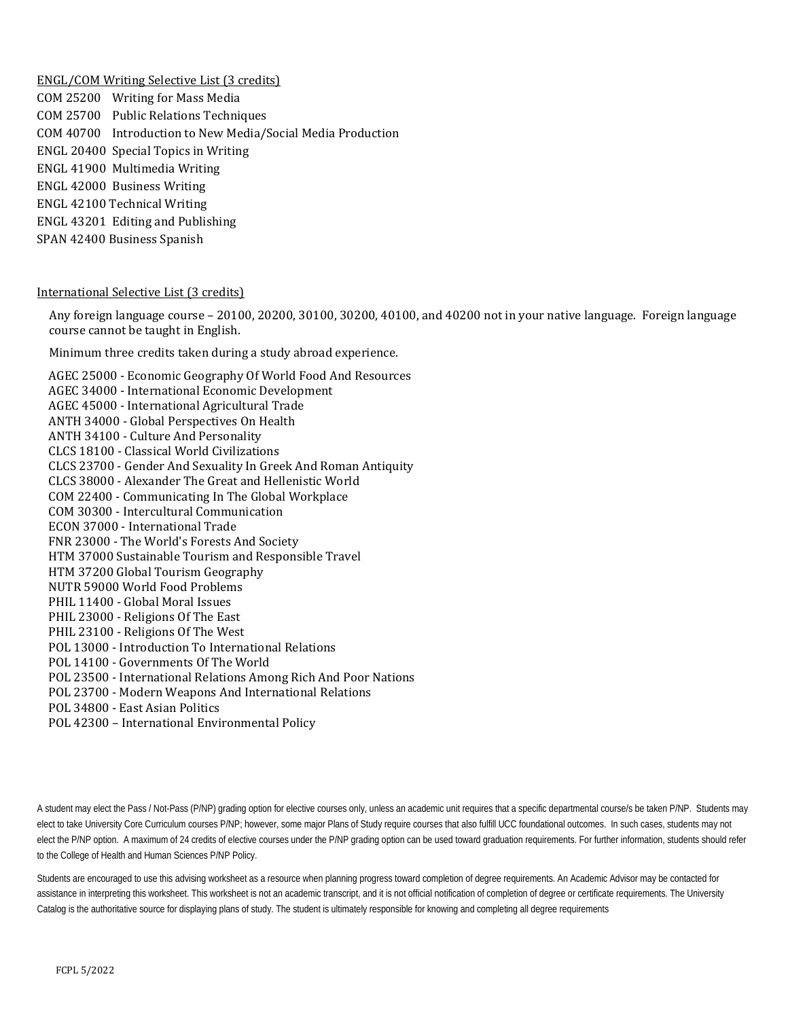ENGL/COM Writing Selective List (3 credits)

COM 25200 Writing for Mass Media COM 25700 Public Relations Techniques COM 40700 Introduction to New Media/Social Media Production ENGL 20400 Special Topics in Writing ENGL 41900 Multimedia Writing ENGL 42000 Business Writing ENGL 42100 Technical Writing ENGL 43201 Editing and Publishing SPAN 42400 Business Spanish

### International Selective List (3 credits)

Any foreign language course – 20100, 20200, 30100, 30200, 40100, and 40200 not in your native language. Foreign language course cannot be taught in English.

Minimum three credits taken during a study abroad experience.

AGEC 25000 - [Economic Geography Of World Food And Resources](http://catalog.purdue.edu/preview_program.php?catoid=7&poid=6459&returnto=2935) AGEC 34000 - [International Economic Development](http://catalog.purdue.edu/preview_program.php?catoid=7&poid=6459&returnto=2935) AGEC 45000 - [International Agricultural Trade](http://catalog.purdue.edu/preview_program.php?catoid=7&poid=6459&returnto=2935) ANTH 34000 - [Global Perspectives On Health](http://catalog.purdue.edu/preview_program.php?catoid=7&poid=6459&returnto=2935) ANTH 34100 - [Culture And Personality](http://catalog.purdue.edu/preview_program.php?catoid=7&poid=6459&returnto=2935) CLCS 18100 - [Classical World Civilizations](http://catalog.purdue.edu/preview_program.php?catoid=7&poid=6459&returnto=2935) CLCS 23700 - [Gender And Sexuality In Greek And Roman Antiquity](http://catalog.purdue.edu/preview_program.php?catoid=7&poid=6459&returnto=2935) CLCS 38000 - [Alexander The Great and Hellenistic World](http://catalog.purdue.edu/preview_program.php?catoid=7&poid=6459&returnto=2935) COM 22400 - [Communicating In The Global Workplace](http://catalog.purdue.edu/preview_program.php?catoid=7&poid=6459&returnto=2935) COM 30300 - [Intercultural Communication](http://catalog.purdue.edu/preview_program.php?catoid=7&poid=6459&returnto=2935) ECON 37000 - [International Trade](http://catalog.purdue.edu/preview_program.php?catoid=7&poid=6459&returnto=2935) FNR 23000 - The World['s Forests And Society](http://catalog.purdue.edu/preview_program.php?catoid=7&poid=6459&returnto=2935) HTM 37000 Sustainable Tourism and Responsible Travel HTM 37200 Global Tourism Geography NUTR 59000 World Food Problems PHIL 11400 - [Global Moral Issues](http://catalog.purdue.edu/preview_program.php?catoid=7&poid=6459&returnto=2935) PHIL 23000 - [Religions Of The East](http://catalog.purdue.edu/preview_program.php?catoid=7&poid=6459&returnto=2935) PHIL 23100 - [Religions Of The West](http://catalog.purdue.edu/preview_program.php?catoid=7&poid=6459&returnto=2935) POL 13000 - [Introduction To International Relations](http://catalog.purdue.edu/preview_program.php?catoid=7&poid=6459&returnto=2935) POL 14100 - [Governments Of The World](http://catalog.purdue.edu/preview_program.php?catoid=7&poid=6459&returnto=2935) POL 23500 - [International Relations Among Rich And Poor Nations](http://catalog.purdue.edu/preview_program.php?catoid=7&poid=6459&returnto=2935) POL 23700 - [Modern Weapons And International Relations](http://catalog.purdue.edu/preview_program.php?catoid=7&poid=6459&returnto=2935) POL 34800 - [East Asian Politics](http://catalog.purdue.edu/preview_program.php?catoid=7&poid=6459&returnto=2935) POL 42300 – International Environmental Policy

A student may elect the Pass / Not-Pass (P/NP) grading option for elective courses only, unless an academic unit requires that a specific departmental course/s be taken P/NP. Students may elect to take University Core Curriculum courses P/NP; however, some major Plans of Study require courses that also fulfill UCC foundational outcomes. In such cases, students may not elect the P/NP option. A maximum of 24 credits of elective courses under the P/NP grading option can be used toward graduation requirements. For further information, students should refer to the College of Health and Human Sciences P/NP Policy.

Students are encouraged to use this advising worksheet as a resource when planning progress toward completion of degree requirements. An Academic Advisor may be contacted for assistance in interpreting this worksheet. This worksheet is not an academic transcript, and it is not official notification of completion of degree or certificate requirements. The University Catalog is the authoritative source for displaying plans of study. The student is ultimately responsible for knowing and completing all degree requirements